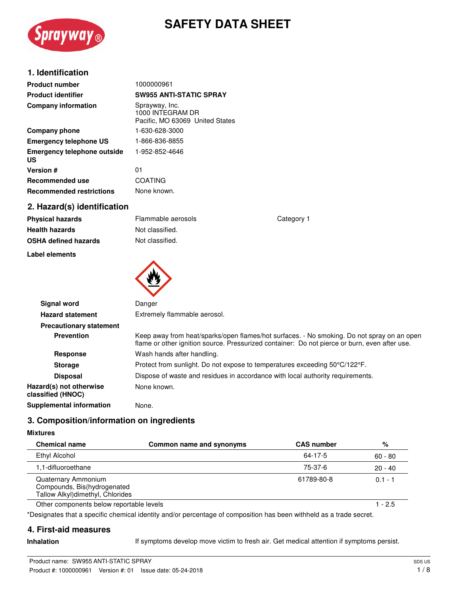

# **SAFETY DATA SHEET**

## **1. Identification**

| <b>Product number</b>             | 1000000961                                                            |
|-----------------------------------|-----------------------------------------------------------------------|
| <b>Product identifier</b>         | <b>SW955 ANTI-STATIC SPRAY</b>                                        |
| <b>Company information</b>        | Sprayway, Inc.<br>1000 INTEGRAM DR<br>Pacific, MO 63069 United States |
| Company phone                     | 1-630-628-3000                                                        |
| <b>Emergency telephone US</b>     | 1-866-836-8855                                                        |
| Emergency telephone outside<br>US | 1-952-852-4646                                                        |
| <b>Version #</b>                  | 01                                                                    |
| Recommended use                   | <b>COATING</b>                                                        |
| <b>Recommended restrictions</b>   | None known.                                                           |
| 2 Hazard(s) identification        |                                                                       |

## **2. Hazard(s) identification**

## **Physical hazards Flammable aerosols Flammable aerosols** Category 1 Health hazards Not classified. **OSHA defined hazards** Not classified.

### **Label elements**





| <b>Signal word</b>                           | Danger                                                                                                                                                                                      |
|----------------------------------------------|---------------------------------------------------------------------------------------------------------------------------------------------------------------------------------------------|
| <b>Hazard statement</b>                      | Extremely flammable aerosol.                                                                                                                                                                |
| <b>Precautionary statement</b>               |                                                                                                                                                                                             |
| <b>Prevention</b>                            | Keep away from heat/sparks/open flames/hot surfaces. - No smoking. Do not spray on an open<br>flame or other ignition source. Pressurized container: Do not pierce or burn, even after use. |
| <b>Response</b>                              | Wash hands after handling.                                                                                                                                                                  |
| <b>Storage</b>                               | Protect from sunlight. Do not expose to temperatures exceeding 50°C/122°F.                                                                                                                  |
| <b>Disposal</b>                              | Dispose of waste and residues in accordance with local authority requirements.                                                                                                              |
| Hazard(s) not otherwise<br>classified (HNOC) | None known.                                                                                                                                                                                 |
| Supplemental information                     | None.                                                                                                                                                                                       |
|                                              |                                                                                                                                                                                             |

## **3. Composition/information on ingredients**

### **Mixtures**

| <b>Chemical name</b>                                                                   | Common name and synonyms | <b>CAS number</b> | %         |
|----------------------------------------------------------------------------------------|--------------------------|-------------------|-----------|
| Ethyl Alcohol                                                                          |                          | 64-17-5           | $60 - 80$ |
| 1,1-difluoroethane                                                                     |                          | 75-37-6           | $20 - 40$ |
| Quaternary Ammonium<br>Compounds, Bis(hydrogenated<br>Tallow Alkyl)dimethyl, Chlorides |                          | 61789-80-8        | $0.1 - 1$ |
| Other components below reportable levels                                               |                          |                   | $1 - 2.5$ |

\*Designates that a specific chemical identity and/or percentage of composition has been withheld as a trade secret.

## **4. First-aid measures**

Inhalation **If symptoms develop move victim to fresh air. Get medical attention if symptoms persist.**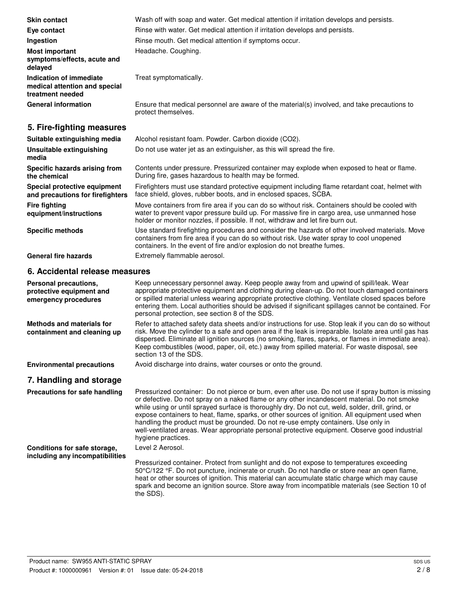| <b>Skin contact</b>                                                          | Wash off with soap and water. Get medical attention if irritation develops and persists.                                                                                                                                                                                                     |
|------------------------------------------------------------------------------|----------------------------------------------------------------------------------------------------------------------------------------------------------------------------------------------------------------------------------------------------------------------------------------------|
| Eye contact                                                                  | Rinse with water. Get medical attention if irritation develops and persists.                                                                                                                                                                                                                 |
| Ingestion                                                                    | Rinse mouth. Get medical attention if symptoms occur.                                                                                                                                                                                                                                        |
| <b>Most important</b><br>symptoms/effects, acute and<br>delayed              | Headache. Coughing.                                                                                                                                                                                                                                                                          |
| Indication of immediate<br>medical attention and special<br>treatment needed | Treat symptomatically.                                                                                                                                                                                                                                                                       |
| <b>General information</b>                                                   | Ensure that medical personnel are aware of the material(s) involved, and take precautions to<br>protect themselves.                                                                                                                                                                          |
| 5. Fire-fighting measures                                                    |                                                                                                                                                                                                                                                                                              |
| Suitable extinguishing media                                                 | Alcohol resistant foam. Powder. Carbon dioxide (CO2).                                                                                                                                                                                                                                        |
| Unsuitable extinguishing<br>media                                            | Do not use water jet as an extinguisher, as this will spread the fire.                                                                                                                                                                                                                       |
| Specific hazards arising from<br>the chemical                                | Contents under pressure. Pressurized container may explode when exposed to heat or flame.<br>During fire, gases hazardous to health may be formed.                                                                                                                                           |
| Special protective equipment<br>and precautions for firefighters             | Firefighters must use standard protective equipment including flame retardant coat, helmet with<br>face shield, gloves, rubber boots, and in enclosed spaces, SCBA.                                                                                                                          |
| <b>Fire fighting</b><br>equipment/instructions                               | Move containers from fire area if you can do so without risk. Containers should be cooled with<br>water to prevent vapor pressure build up. For massive fire in cargo area, use unmanned hose<br>holder or monitor nozzles, if possible. If not, withdraw and let fire burn out.             |
| <b>Specific methods</b>                                                      | Use standard firefighting procedures and consider the hazards of other involved materials. Move<br>containers from fire area if you can do so without risk. Use water spray to cool unopened<br>containers. In the event of fire and/or explosion do not breathe fumes.                      |
| <b>General fire hazards</b>                                                  | Extremely flammable aerosol.                                                                                                                                                                                                                                                                 |
| 6. Accidental release measures                                               |                                                                                                                                                                                                                                                                                              |
| Personal precautions,<br>protective equipment and<br>emergency procedures    | Keep unnecessary personnel away. Keep people away from and upwind of spill/leak. Wear<br>appropriate protective equipment and clothing during clean-up. Do not touch damaged container<br>or spilled material unless wearing appropriate protective clothing. Ventilate closed spaces before |

appropriate protective equipment and clothing during clean-up. Do not touch damaged containers or spilled material unless wearing appropriate protective clothing. Ventilate closed spaces before entering them. Local authorities should be advised if significant spillages cannot be contained. For personal protection, see section 8 of the SDS. **emergency procedures** Refer to attached safety data sheets and/or instructions for use. Stop leak if you can do so without risk. Move the cylinder to a safe and open area if the leak is irreparable. Isolate area until gas has dispersed. Eliminate all ignition sources (no smoking, flares, sparks, or flames in immediate area). Keep combustibles (wood, paper, oil, etc.) away from spilled material. For waste disposal, see section 13 of the SDS. **Methods and materials for containment and cleaning up Environmental precautions** Avoid discharge into drains, water courses or onto the ground. **7. Handling and storage** Pressurized container: Do not pierce or burn, even after use. Do not use if spray button is missing or defective. Do not spray on a naked flame or any other incandescent material. Do not smoke while using or until sprayed surface is thoroughly dry. Do not cut, weld, solder, drill, grind, or expose containers to heat, flame, sparks, or other sources of ignition. All equipment used when handling the product must be grounded. Do not re-use empty containers. Use only in well-ventilated areas. Wear appropriate personal protective equipment. Observe good industrial hygiene practices. **Precautions for safe handling** Level 2 Aerosol. Pressurized container. Protect from sunlight and do not expose to temperatures exceeding 50°C/122 °F. Do not puncture, incinerate or crush. Do not handle or store near an open flame, **Conditions for safe storage, including any incompatibilities**

> heat or other sources of ignition. This material can accumulate static charge which may cause spark and become an ignition source. Store away from incompatible materials (see Section 10 of

the SDS).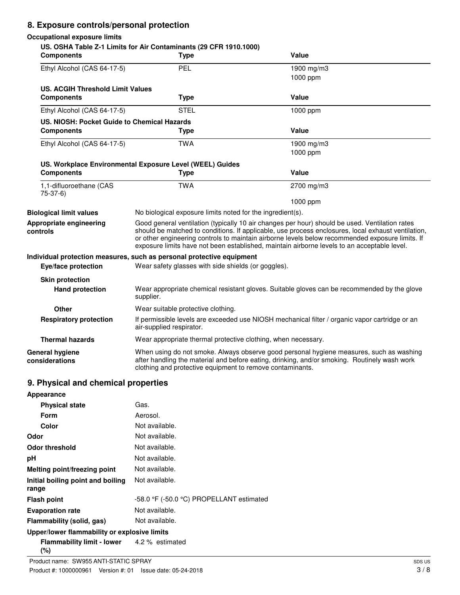## **8. Exposure controls/personal protection**

## **Occupational exposure limits**

| <b>Components</b>                                                | US. OSHA Table Z-1 Limits for Air Contaminants (29 CFR 1910.1000)<br><b>Type</b>                                                                                                                                                                                                                                                                                                                       | Value                                                                                                                                                                                   |
|------------------------------------------------------------------|--------------------------------------------------------------------------------------------------------------------------------------------------------------------------------------------------------------------------------------------------------------------------------------------------------------------------------------------------------------------------------------------------------|-----------------------------------------------------------------------------------------------------------------------------------------------------------------------------------------|
| Ethyl Alcohol (CAS 64-17-5)                                      | <b>PEL</b>                                                                                                                                                                                                                                                                                                                                                                                             | 1900 mg/m3<br>1000 ppm                                                                                                                                                                  |
| <b>US. ACGIH Threshold Limit Values</b>                          |                                                                                                                                                                                                                                                                                                                                                                                                        | Value                                                                                                                                                                                   |
| <b>Components</b>                                                | <b>Type</b>                                                                                                                                                                                                                                                                                                                                                                                            |                                                                                                                                                                                         |
| Ethyl Alcohol (CAS 64-17-5)                                      | <b>STEL</b>                                                                                                                                                                                                                                                                                                                                                                                            | 1000 ppm                                                                                                                                                                                |
| US. NIOSH: Pocket Guide to Chemical Hazards<br><b>Components</b> | <b>Type</b>                                                                                                                                                                                                                                                                                                                                                                                            | Value                                                                                                                                                                                   |
| Ethyl Alcohol (CAS 64-17-5)                                      | <b>TWA</b>                                                                                                                                                                                                                                                                                                                                                                                             | 1900 mg/m3<br>1000 ppm                                                                                                                                                                  |
| <b>Components</b>                                                | US. Workplace Environmental Exposure Level (WEEL) Guides<br><b>Type</b>                                                                                                                                                                                                                                                                                                                                | Value                                                                                                                                                                                   |
| 1,1-difluoroethane (CAS<br>75-37-6)                              | <b>TWA</b>                                                                                                                                                                                                                                                                                                                                                                                             | 2700 mg/m3                                                                                                                                                                              |
|                                                                  |                                                                                                                                                                                                                                                                                                                                                                                                        | 1000 ppm                                                                                                                                                                                |
| <b>Biological limit values</b>                                   | No biological exposure limits noted for the ingredient(s).                                                                                                                                                                                                                                                                                                                                             |                                                                                                                                                                                         |
| Appropriate engineering<br>controls                              | Good general ventilation (typically 10 air changes per hour) should be used. Ventilation rates<br>should be matched to conditions. If applicable, use process enclosures, local exhaust ventilation,<br>or other engineering controls to maintain airborne levels below recommended exposure limits. If<br>exposure limits have not been established, maintain airborne levels to an acceptable level. |                                                                                                                                                                                         |
|                                                                  | Individual protection measures, such as personal protective equipment                                                                                                                                                                                                                                                                                                                                  |                                                                                                                                                                                         |
| Eye/face protection                                              | Wear safety glasses with side shields (or goggles).                                                                                                                                                                                                                                                                                                                                                    |                                                                                                                                                                                         |
| <b>Skin protection</b>                                           |                                                                                                                                                                                                                                                                                                                                                                                                        |                                                                                                                                                                                         |
| <b>Hand protection</b>                                           | supplier.                                                                                                                                                                                                                                                                                                                                                                                              | Wear appropriate chemical resistant gloves. Suitable gloves can be recommended by the glove                                                                                             |
| <b>Other</b>                                                     | Wear suitable protective clothing.                                                                                                                                                                                                                                                                                                                                                                     |                                                                                                                                                                                         |
| <b>Respiratory protection</b>                                    | air-supplied respirator.                                                                                                                                                                                                                                                                                                                                                                               | If permissible levels are exceeded use NIOSH mechanical filter / organic vapor cartridge or an                                                                                          |
| <b>Thermal hazards</b>                                           | Wear appropriate thermal protective clothing, when necessary.                                                                                                                                                                                                                                                                                                                                          |                                                                                                                                                                                         |
| <b>General hygiene</b><br>considerations                         | clothing and protective equipment to remove contaminants.                                                                                                                                                                                                                                                                                                                                              | When using do not smoke. Always observe good personal hygiene measures, such as washing<br>after handling the material and before eating, drinking, and/or smoking. Routinely wash work |

## **9. Physical and chemical properties**

| Appearance                                               |                                          |
|----------------------------------------------------------|------------------------------------------|
| <b>Physical state</b>                                    | Gas.                                     |
| <b>Form</b>                                              | Aerosol.                                 |
| Color                                                    | Not available.                           |
| Odor                                                     | Not available.                           |
| <b>Odor threshold</b>                                    | Not available.                           |
| рH                                                       | Not available.                           |
| Melting point/freezing point                             | Not available.                           |
| Initial boiling point and boiling<br>range               | Not available.                           |
| <b>Flash point</b>                                       | -58.0 °F (-50.0 °C) PROPELLANT estimated |
| <b>Evaporation rate</b>                                  | Not available.                           |
| Flammability (solid, gas)                                | Not available.                           |
| Upper/lower flammability or explosive limits             |                                          |
| <b>Flammability limit - lower</b> 4.2 % estimated<br>(%) |                                          |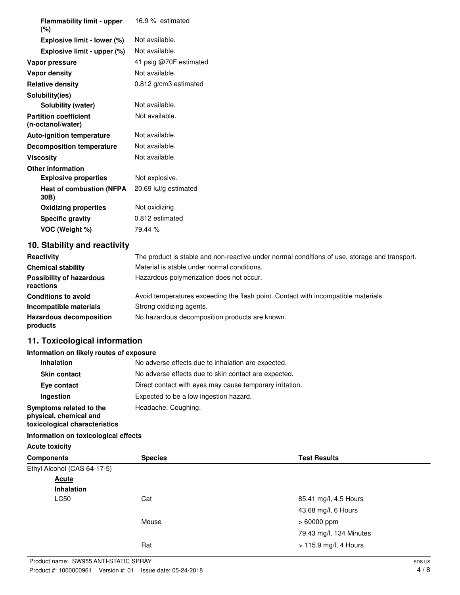| <b>Flammability limit - upper</b><br>(%)          | 16.9 % estimated       |
|---------------------------------------------------|------------------------|
| Explosive limit - lower (%)                       | Not available.         |
| Explosive limit - upper (%)                       | Not available.         |
| Vapor pressure                                    | 41 psig @70F estimated |
| <b>Vapor density</b>                              | Not available.         |
| <b>Relative density</b>                           | 0.812 g/cm3 estimated  |
| Solubility(ies)                                   |                        |
| Solubility (water)                                | Not available.         |
| <b>Partition coefficient</b><br>(n-octanol/water) | Not available.         |
| <b>Auto-ignition temperature</b>                  | Not available.         |
| <b>Decomposition temperature</b>                  | Not available.         |
| Viscosity                                         | Not available.         |
| <b>Other information</b>                          |                        |
| <b>Explosive properties</b>                       | Not explosive.         |
| <b>Heat of combustion (NFPA</b><br>30B)           | 20.69 kJ/g estimated   |
| <b>Oxidizing properties</b>                       | Not oxidizing.         |
| <b>Specific gravity</b>                           | 0.812 estimated        |
| VOC (Weight %)                                    | 79.44 %                |

## **10. Stability and reactivity**

| Reactivity                                   | The product is stable and non-reactive under normal conditions of use, storage and transport. |
|----------------------------------------------|-----------------------------------------------------------------------------------------------|
| <b>Chemical stability</b>                    | Material is stable under normal conditions.                                                   |
| <b>Possibility of hazardous</b><br>reactions | Hazardous polymerization does not occur.                                                      |
| <b>Conditions to avoid</b>                   | Avoid temperatures exceeding the flash point. Contact with incompatible materials.            |
| Incompatible materials                       | Strong oxidizing agents.                                                                      |
| <b>Hazardous decomposition</b><br>products   | No hazardous decomposition products are known.                                                |

## **11. Toxicological information**

## **Information on likely routes of exposure**

| <b>Inhalation</b>                                                                  | No adverse effects due to inhalation are expected.       |
|------------------------------------------------------------------------------------|----------------------------------------------------------|
| <b>Skin contact</b>                                                                | No adverse effects due to skin contact are expected.     |
| Eye contact                                                                        | Direct contact with eyes may cause temporary irritation. |
| Ingestion                                                                          | Expected to be a low ingestion hazard.                   |
| Symptoms related to the<br>physical, chemical and<br>toxicological characteristics | Headache. Coughing.                                      |

**Information on toxicological effects**

## **Acute toxicity**

| <b>Components</b>           | <b>Species</b>          | <b>Test Results</b>   |
|-----------------------------|-------------------------|-----------------------|
| Ethyl Alcohol (CAS 64-17-5) |                         |                       |
| <b>Acute</b>                |                         |                       |
| Inhalation                  |                         |                       |
| LC50                        | Cat                     | 85.41 mg/l, 4.5 Hours |
|                             |                         | 43.68 mg/l, 6 Hours   |
|                             | Mouse                   | $>60000$ ppm          |
|                             | 79.43 mg/l, 134 Minutes |                       |
|                             | Rat                     | > 115.9 mg/l, 4 Hours |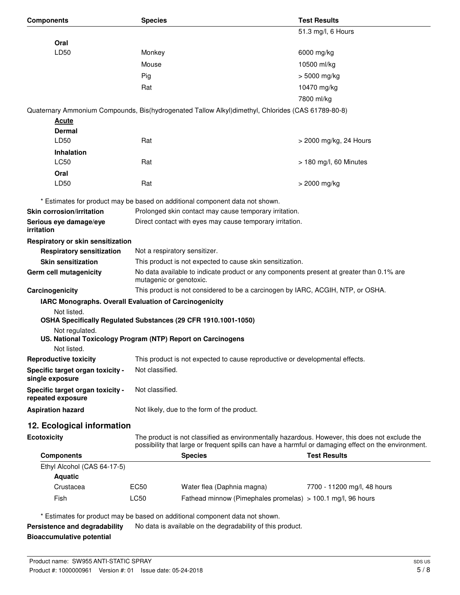| 51.3 mg/l, 6 Hours<br>Oral<br>LD50<br>Monkey<br>6000 mg/kg<br>Mouse<br>10500 ml/kg<br>Pig<br>$> 5000$ mg/kg<br>Rat<br>10470 mg/kg<br>7800 ml/kg<br>Quaternary Ammonium Compounds, Bis(hydrogenated Tallow Alkyl)dimethyl, Chlorides (CAS 61789-80-8)<br><b>Acute</b><br>Dermal<br>LD50<br>Rat<br>> 2000 mg/kg, 24 Hours<br><b>Inhalation</b> |
|----------------------------------------------------------------------------------------------------------------------------------------------------------------------------------------------------------------------------------------------------------------------------------------------------------------------------------------------|
|                                                                                                                                                                                                                                                                                                                                              |
|                                                                                                                                                                                                                                                                                                                                              |
|                                                                                                                                                                                                                                                                                                                                              |
|                                                                                                                                                                                                                                                                                                                                              |
|                                                                                                                                                                                                                                                                                                                                              |
|                                                                                                                                                                                                                                                                                                                                              |
|                                                                                                                                                                                                                                                                                                                                              |
|                                                                                                                                                                                                                                                                                                                                              |
|                                                                                                                                                                                                                                                                                                                                              |
|                                                                                                                                                                                                                                                                                                                                              |
|                                                                                                                                                                                                                                                                                                                                              |
|                                                                                                                                                                                                                                                                                                                                              |
| LC50<br>Rat<br>> 180 mg/l, 60 Minutes                                                                                                                                                                                                                                                                                                        |
| Oral                                                                                                                                                                                                                                                                                                                                         |
| LD50<br>Rat<br>> 2000 mg/kg                                                                                                                                                                                                                                                                                                                  |
|                                                                                                                                                                                                                                                                                                                                              |
| * Estimates for product may be based on additional component data not shown.                                                                                                                                                                                                                                                                 |
| <b>Skin corrosion/irritation</b><br>Prolonged skin contact may cause temporary irritation.                                                                                                                                                                                                                                                   |
| Direct contact with eyes may cause temporary irritation.<br>Serious eye damage/eye<br>irritation                                                                                                                                                                                                                                             |
| Respiratory or skin sensitization                                                                                                                                                                                                                                                                                                            |
| <b>Respiratory sensitization</b><br>Not a respiratory sensitizer.                                                                                                                                                                                                                                                                            |
| <b>Skin sensitization</b><br>This product is not expected to cause skin sensitization.                                                                                                                                                                                                                                                       |
| No data available to indicate product or any components present at greater than 0.1% are<br>Germ cell mutagenicity<br>mutagenic or genotoxic.                                                                                                                                                                                                |
| This product is not considered to be a carcinogen by IARC, ACGIH, NTP, or OSHA.<br>Carcinogenicity                                                                                                                                                                                                                                           |
| IARC Monographs. Overall Evaluation of Carcinogenicity                                                                                                                                                                                                                                                                                       |
| Not listed.                                                                                                                                                                                                                                                                                                                                  |
| OSHA Specifically Regulated Substances (29 CFR 1910.1001-1050)                                                                                                                                                                                                                                                                               |
| Not regulated.<br>US. National Toxicology Program (NTP) Report on Carcinogens                                                                                                                                                                                                                                                                |
| Not listed.                                                                                                                                                                                                                                                                                                                                  |
| This product is not expected to cause reproductive or developmental effects.<br><b>Reproductive toxicity</b>                                                                                                                                                                                                                                 |
| Not classified.<br>Specific target organ toxicity -<br>single exposure                                                                                                                                                                                                                                                                       |
| Not classified.<br>Specific target organ toxicity -<br>repeated exposure                                                                                                                                                                                                                                                                     |
| <b>Aspiration hazard</b><br>Not likely, due to the form of the product.                                                                                                                                                                                                                                                                      |
|                                                                                                                                                                                                                                                                                                                                              |
| 12. Ecological information                                                                                                                                                                                                                                                                                                                   |
| The product is not classified as environmentally hazardous. However, this does not exclude the<br><b>Ecotoxicity</b><br>possibility that large or frequent spills can have a harmful or damaging effect on the environment.                                                                                                                  |
| <b>Species</b><br><b>Test Results</b><br><b>Components</b>                                                                                                                                                                                                                                                                                   |
| Ethyl Alcohol (CAS 64-17-5)                                                                                                                                                                                                                                                                                                                  |
| <b>Aquatic</b>                                                                                                                                                                                                                                                                                                                               |

Crustacea **EC50** Water flea (Daphnia magna) 7700 - 11200 mg/l, 48 hours

Fish LC50 Fathead minnow (Pimephales promelas) > 100.1 mg/l, 96 hours

\* Estimates for product may be based on additional component data not shown.

**Persistence and degradability** No data is available on the degradability of this product.

## **Bioaccumulative potential**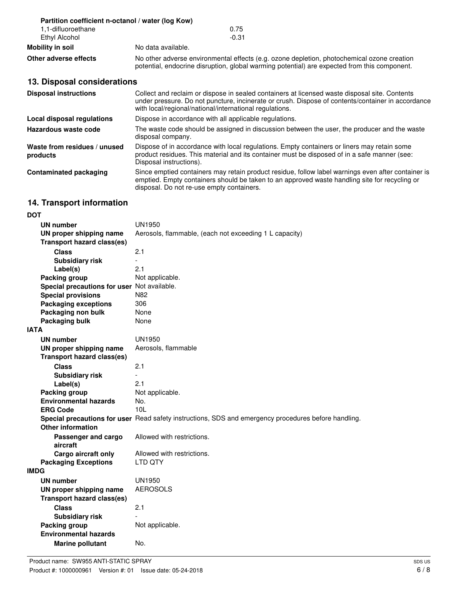|                       | Partition coefficient n-octanol / water (log Kow)                                                                                                                                          |
|-----------------------|--------------------------------------------------------------------------------------------------------------------------------------------------------------------------------------------|
| 1,1-difluoroethane    | 0.75                                                                                                                                                                                       |
| Ethyl Alcohol         | $-0.31$                                                                                                                                                                                    |
| Mobility in soil      | No data available.                                                                                                                                                                         |
| Other adverse effects | No other adverse environmental effects (e.g. ozone depletion, photochemical ozone creation<br>potential, endocrine disruption, global warming potential) are expected from this component. |

## **13. Disposal considerations**

| <b>Disposal instructions</b>             | Collect and reclaim or dispose in sealed containers at licensed waste disposal site. Contents<br>under pressure. Do not puncture, incinerate or crush. Dispose of contents/container in accordance<br>with local/regional/national/international regulations. |
|------------------------------------------|---------------------------------------------------------------------------------------------------------------------------------------------------------------------------------------------------------------------------------------------------------------|
| Local disposal regulations               | Dispose in accordance with all applicable regulations.                                                                                                                                                                                                        |
| Hazardous waste code                     | The waste code should be assigned in discussion between the user, the producer and the waste<br>disposal company.                                                                                                                                             |
| Waste from residues / unused<br>products | Dispose of in accordance with local regulations. Empty containers or liners may retain some<br>product residues. This material and its container must be disposed of in a safe manner (see:<br>Disposal instructions).                                        |
| <b>Contaminated packaging</b>            | Since emptied containers may retain product residue, follow label warnings even after container is<br>emptied. Empty containers should be taken to an approved waste handling site for recycling or<br>disposal. Do not re-use empty containers.              |

## **14. Transport information**

| DOT         |                                             |                                                                                                      |
|-------------|---------------------------------------------|------------------------------------------------------------------------------------------------------|
|             | UN number                                   | <b>UN1950</b>                                                                                        |
|             | UN proper shipping name                     | Aerosols, flammable, (each not exceeding 1 L capacity)                                               |
|             | <b>Transport hazard class(es)</b>           |                                                                                                      |
|             | <b>Class</b>                                | 2.1                                                                                                  |
|             | <b>Subsidiary risk</b>                      |                                                                                                      |
|             | Label(s)                                    | 2.1                                                                                                  |
|             | Packing group                               | Not applicable.                                                                                      |
|             | Special precautions for user Not available. |                                                                                                      |
|             | <b>Special provisions</b>                   | N82                                                                                                  |
|             | <b>Packaging exceptions</b>                 | 306                                                                                                  |
|             | Packaging non bulk                          | None                                                                                                 |
|             | Packaging bulk                              | None                                                                                                 |
| <b>IATA</b> |                                             |                                                                                                      |
|             | <b>UN number</b>                            | <b>UN1950</b>                                                                                        |
|             | UN proper shipping name                     | Aerosols, flammable                                                                                  |
|             | <b>Transport hazard class(es)</b>           |                                                                                                      |
|             | <b>Class</b>                                | 2.1                                                                                                  |
|             | <b>Subsidiary risk</b>                      | $\overline{a}$                                                                                       |
|             | Label(s)                                    | 2.1                                                                                                  |
|             | Packing group                               | Not applicable.                                                                                      |
|             | <b>Environmental hazards</b>                | No.                                                                                                  |
|             | <b>ERG Code</b>                             | 10L                                                                                                  |
|             | <b>Other information</b>                    | Special precautions for user Read safety instructions, SDS and emergency procedures before handling. |
|             | Passenger and cargo<br>aircraft             | Allowed with restrictions.                                                                           |
|             | Cargo aircraft only                         | Allowed with restrictions.                                                                           |
|             | <b>Packaging Exceptions</b>                 | LTD QTY                                                                                              |
| <b>IMDG</b> |                                             |                                                                                                      |
|             | UN number                                   | UN1950                                                                                               |
|             | UN proper shipping name                     | <b>AEROSOLS</b>                                                                                      |
|             | <b>Transport hazard class(es)</b>           |                                                                                                      |
|             | <b>Class</b>                                | 2.1                                                                                                  |
|             | <b>Subsidiary risk</b>                      |                                                                                                      |
|             | Packing group                               | Not applicable.                                                                                      |
|             | <b>Environmental hazards</b>                |                                                                                                      |
|             | <b>Marine pollutant</b>                     | No.                                                                                                  |
|             |                                             |                                                                                                      |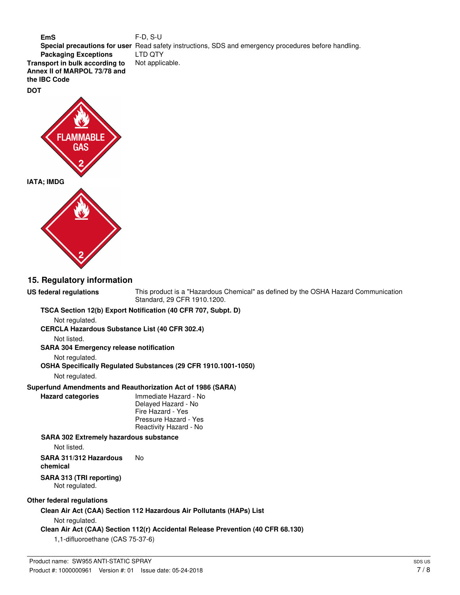**EmS** F-D, S-U **Special precautions for user** Read safety instructions, SDS and emergency procedures before handling. **Packaging Exceptions Transport in bulk according to** Not applicable. **Annex II of MARPOL 73/78 and the IBC Code**

**DOT**



## **15. Regulatory information**

This product is a "Hazardous Chemical" as defined by the OSHA Hazard Communication Standard, 29 CFR 1910.1200.

#### **TSCA Section 12(b) Export Notification (40 CFR 707, Subpt. D)**

Not regulated.

**US federal regulations**

**CERCLA Hazardous Substance List (40 CFR 302.4)**

Not listed.

**SARA 304 Emergency release notification**

Not regulated.

**OSHA Specifically Regulated Substances (29 CFR 1910.1001-1050)**

Not regulated.

#### **Superfund Amendments and Reauthorization Act of 1986 (SARA)**

**Hazard categories**

Immediate Hazard - No Delayed Hazard - No Fire Hazard - Yes Pressure Hazard - Yes Reactivity Hazard - No

### **SARA 302 Extremely hazardous substance**

Not listed.

**SARA 311/312 Hazardous** No **chemical SARA 313 (TRI reporting)**

Not regulated.

## **Other federal regulations**

**Clean Air Act (CAA) Section 112 Hazardous Air Pollutants (HAPs) List**

Not regulated.

## **Clean Air Act (CAA) Section 112(r) Accidental Release Prevention (40 CFR 68.130)**

1,1-difluoroethane (CAS 75-37-6)